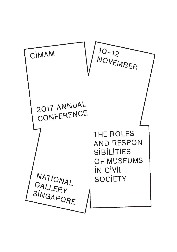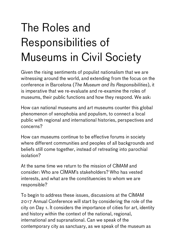## The Roles and Responsibilities of Museums in Civil Society

Given the rising sentiments of populist nationalism that we are witnessing around the world, and extending from the focus on the conference in Barcelona (*The Museum and Its Responsibilities*), it is imperative that we re-evaluate and re-examine the roles of museums, their public functions and how they respond. We ask:

How can national museums and art museums counter this global phenomenon of xenophobia and populism, to connect a local public with regional and international histories, perspectives and concerns?

How can museums continue to be effective forums in society where different communities and peoples of all backgrounds and beliefs still come together, instead of retreating into parochial isolation?

At the same time we return to the mission of CIMAM and consider: Who are CIMAM's stakeholders? Who has vested interests, and what are the constituencies to whom we are responsible?

To begin to address these issues, discussions at the CIMAM 2017 Annual Conference will start by considering the role of the city on Day 1. It considers the importance of cities for art, identity and history within the context of the national, regional, international and supranational. Can we speak of the contemporary city as sanctuary, as we speak of the museum as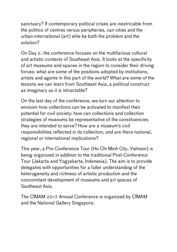sanctuary? If contemporary political crises are inextricable from the politics of centres versus peripheries, can cities and the urban-international (art) elite be both the problem and the solution?

On Day 2, the conference focuses on the multifarious cultural and artistic contexts of Southeast Asia. It looks at the specificity of art museums and spaces in the region to consider their driving forces: what are some of the positions adopted by institutions, artists and agents in this part of the world? What are some of the lessons we can learn from Southeast Asia, a political construct as imaginary as it is intractable?

On the last day of the conference, we turn our attention to envision how collections can be activated to manifest their potential for civil society: how can collections and collection strategies of museums be representative of the constituencies they are intended to serve? How are a museum's civil responsibilities reflected in its collection, and are there national, regional or international implications?

This year, a Pre-Conference Tour (Ho Chi Minh City, Vietnam) is being organized in addition to the traditional Post-Conference Tour (Jakarta and Yogyakarta, Indonesia). The aim is to provide delegates with opportunities for a fuller understanding of the heterogeneity and richness of artistic production and the concomitant development of museums and art spaces of Southeast Asia.

The CIMAM 2017 Annual Conference is organized by CIMAM and the National Gallery Singapore.